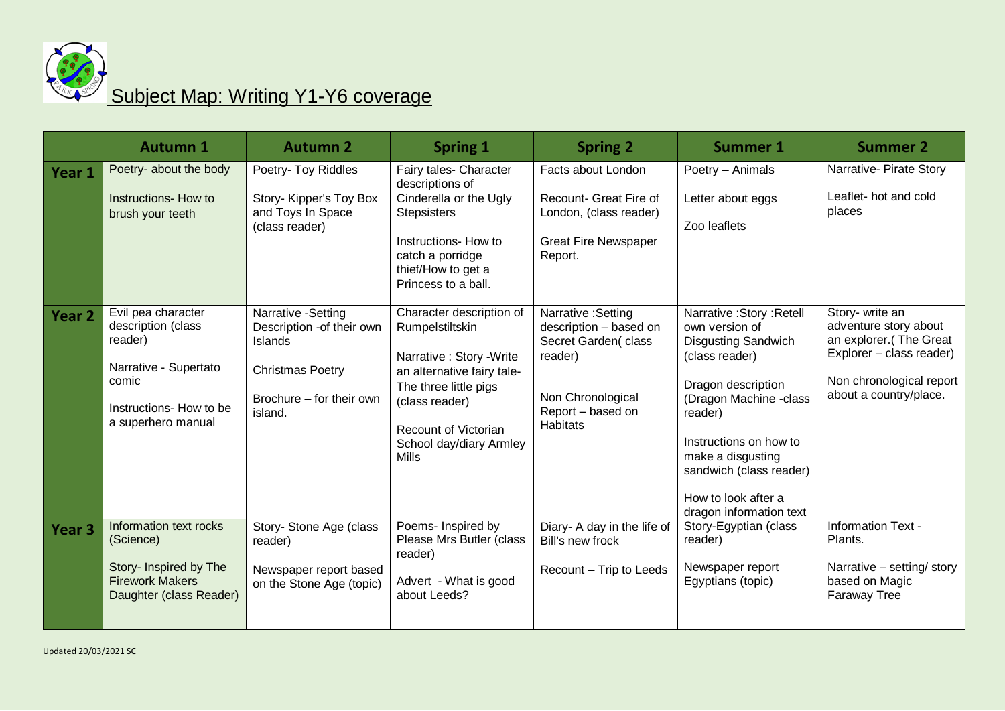

## Subject Map: Writing Y1-Y6 coverage

|                   | <b>Autumn 1</b>                                                                                                                        | <b>Autumn 2</b>                                                                                                              | <b>Spring 1</b>                                                                                                                                                                                               | <b>Spring 2</b>                                                                                                                              | <b>Summer 1</b>                                                                                                                                                                                                                                                                   | <b>Summer 2</b>                                                                                                                                      |
|-------------------|----------------------------------------------------------------------------------------------------------------------------------------|------------------------------------------------------------------------------------------------------------------------------|---------------------------------------------------------------------------------------------------------------------------------------------------------------------------------------------------------------|----------------------------------------------------------------------------------------------------------------------------------------------|-----------------------------------------------------------------------------------------------------------------------------------------------------------------------------------------------------------------------------------------------------------------------------------|------------------------------------------------------------------------------------------------------------------------------------------------------|
| Year 1            | Poetry- about the body<br>Instructions- How to<br>brush your teeth                                                                     | Poetry- Toy Riddles<br>Story- Kipper's Toy Box<br>and Toys In Space<br>(class reader)                                        | Fairy tales- Character<br>descriptions of<br>Cinderella or the Ugly<br><b>Stepsisters</b><br>Instructions- How to<br>catch a porridge<br>thief/How to get a<br>Princess to a ball.                            | Facts about London<br>Recount- Great Fire of<br>London, (class reader)<br><b>Great Fire Newspaper</b><br>Report.                             | Poetry - Animals<br>Letter about eggs<br>Zoo leaflets                                                                                                                                                                                                                             | Narrative- Pirate Story<br>Leaflet- hot and cold<br>places                                                                                           |
| Year <sub>2</sub> | Evil pea character<br>description (class<br>reader)<br>Narrative - Supertato<br>comic<br>Instructions- How to be<br>a superhero manual | Narrative -Setting<br>Description -of their own<br>Islands<br><b>Christmas Poetry</b><br>Brochure – for their own<br>island. | Character description of<br>Rumpelstiltskin<br>Narrative : Story - Write<br>an alternative fairy tale-<br>The three little pigs<br>(class reader)<br>Recount of Victorian<br>School day/diary Armley<br>Mills | Narrative : Setting<br>description - based on<br>Secret Garden(class<br>reader)<br>Non Chronological<br>Report - based on<br><b>Habitats</b> | Narrative: Story: Retell<br>own version of<br><b>Disgusting Sandwich</b><br>(class reader)<br>Dragon description<br>(Dragon Machine -class<br>reader)<br>Instructions on how to<br>make a disgusting<br>sandwich (class reader)<br>How to look after a<br>dragon information text | Story- write an<br>adventure story about<br>an explorer.(The Great<br>Explorer - class reader)<br>Non chronological report<br>about a country/place. |
| Year <sub>3</sub> | Information text rocks<br>(Science)<br>Story- Inspired by The<br><b>Firework Makers</b><br>Daughter (class Reader)                     | Story- Stone Age (class<br>reader)<br>Newspaper report based<br>on the Stone Age (topic)                                     | Poems- Inspired by<br>Please Mrs Butler (class<br>reader)<br>Advert - What is good<br>about Leeds?                                                                                                            | Diary- A day in the life of<br>Bill's new frock<br>Recount - Trip to Leeds                                                                   | Story-Egyptian (class<br>reader)<br>Newspaper report<br>Egyptians (topic)                                                                                                                                                                                                         | Information Text -<br>Plants.<br>Narrative - setting/ story<br>based on Magic<br><b>Faraway Tree</b>                                                 |